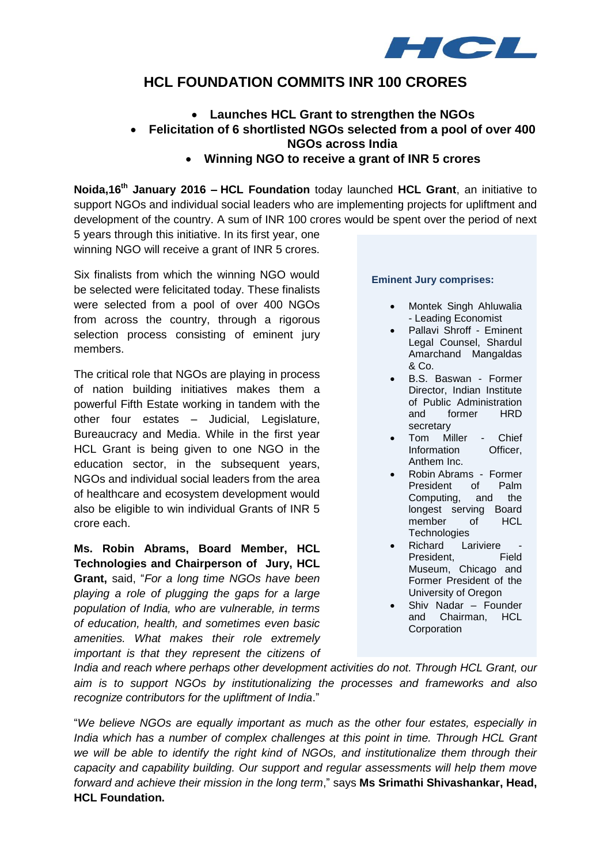

# **HCL FOUNDATION COMMITS INR 100 CRORES**

## **Launches HCL Grant to strengthen the NGOs**

## **Felicitation of 6 shortlisted NGOs selected from a pool of over 400 NGOs across India**

### **Winning NGO to receive a grant of INR 5 crores**

**Noida,16 th January 2016 – HCL Foundation** today launched **HCL Grant**, an initiative to support NGOs and individual social leaders who are implementing projects for upliftment and development of the country. A sum of INR 100 crores would be spent over the period of next

5 years through this initiative. In its first year, one winning NGO will receive a grant of INR 5 crores.

Six finalists from which the winning NGO would be selected were felicitated today. These finalists were selected from a pool of over 400 NGOs from across the country, through a rigorous selection process consisting of eminent jury members.

The critical role that NGOs are playing in process of nation building initiatives makes them a powerful Fifth Estate working in tandem with the other four estates – Judicial, Legislature, Bureaucracy and Media. While in the first year HCL Grant is being given to one NGO in the education sector, in the subsequent years, NGOs and individual social leaders from the area of healthcare and ecosystem development would also be eligible to win individual Grants of INR 5 crore each.

**Ms. Robin Abrams, Board Member, HCL Technologies and Chairperson of Jury, HCL Grant,** said, "*For a long time NGOs have been playing a role of plugging the gaps for a large population of India, who are vulnerable, in terms of education, health, and sometimes even basic amenities. What makes their role extremely important is that they represent the citizens of*

#### **Eminent Jury comprises:**

- Montek Singh Ahluwalia - Leading Economist
- Pallavi Shroff Eminent Legal Counsel, Shardul Amarchand Mangaldas & Co.
- B.S. Baswan Former Director, Indian Institute of Public Administration and former HRD secretary
- Tom Miller Chief Information Officer, Anthem Inc.
- Robin Abrams Former President of Palm Computing, and the longest serving Board member of HCL **Technologies**
- Richard Lariviere President, Field Museum, Chicago and Former President of the University of Oregon
- Shiv Nadar Founder and Chairman, HCL Corporation

*India and reach where perhaps other development activities do not. Through HCL Grant, our aim is to support NGOs by institutionalizing the processes and frameworks and also recognize contributors for the upliftment of India*."

"*We believe NGOs are equally important as much as the other four estates, especially in India which has a number of complex challenges at this point in time. Through HCL Grant we will be able to identify the right kind of NGOs, and institutionalize them through their capacity and capability building. Our support and regular assessments will help them move forward and achieve their mission in the long term*," says **Ms Srimathi Shivashankar, Head, HCL Foundation.**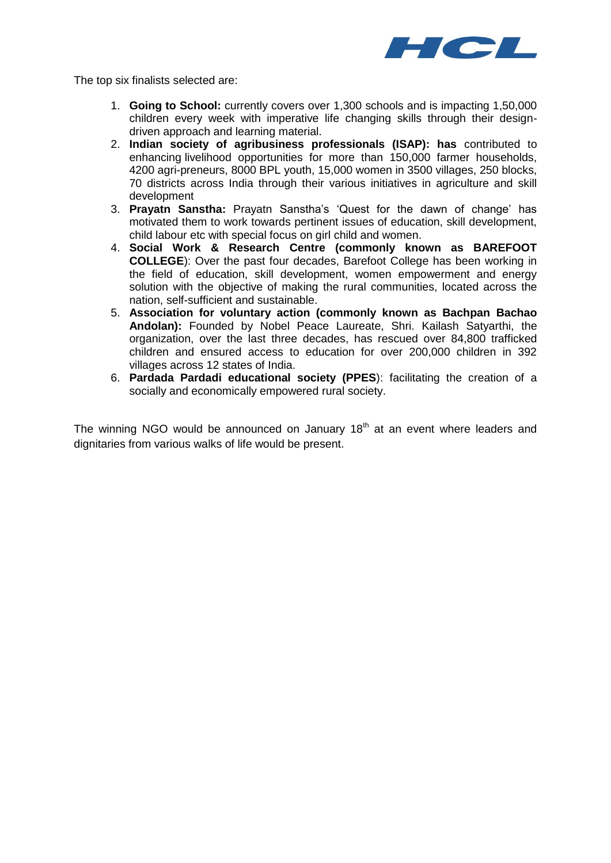

The top six finalists selected are:

- 1. **Going to School:** currently covers over 1,300 schools and is impacting 1,50,000 children every week with imperative life changing skills through their designdriven approach and learning material.
- 2. **Indian society of agribusiness professionals (ISAP): has** contributed to enhancing livelihood opportunities for more than 150,000 farmer households, 4200 agri-preneurs, 8000 BPL youth, 15,000 women in 3500 villages, 250 blocks, 70 districts across India through their various initiatives in agriculture and skill development
- 3. **Prayatn Sanstha:** Prayatn Sanstha's 'Quest for the dawn of change' has motivated them to work towards pertinent issues of education, skill development, child labour etc with special focus on girl child and women.
- 4. **Social Work & Research Centre (commonly known as BAREFOOT COLLEGE**): Over the past four decades, Barefoot College has been working in the field of education, skill development, women empowerment and energy solution with the objective of making the rural communities, located across the nation, self-sufficient and sustainable.
- 5. **Association for voluntary action (commonly known as Bachpan Bachao Andolan):** Founded by Nobel Peace Laureate, Shri. Kailash Satyarthi, the organization, over the last three decades, has rescued over 84,800 trafficked children and ensured access to education for over 200,000 children in 392 villages across 12 states of India.
- 6. **Pardada Pardadi educational society (PPES**): facilitating the creation of a socially and economically empowered rural society.

The winning NGO would be announced on January  $18<sup>th</sup>$  at an event where leaders and dignitaries from various walks of life would be present.